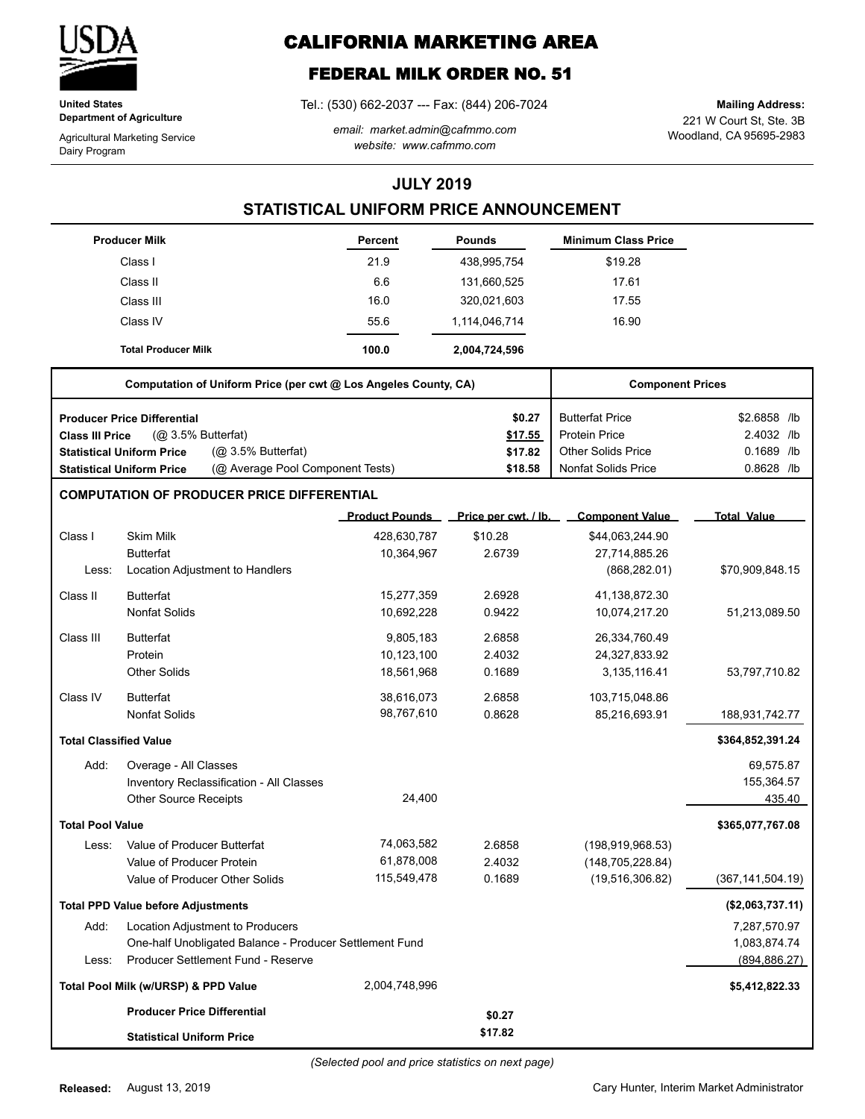

**United States Department of Agriculture**

Agricultural Marketing Service Dairy Program

# **CALIFORNIA MARKETING AREA**

## **FEDERAL MILK ORDER NO. 51**

Tel.: (530) 662-2037 --- Fax: (844) 206-7024

*email: market.admin@cafmmo.com website: www.cafmmo.com*

221 W Court St, Ste. 3B Woodland, CA 95695-2983 **Mailing Address:**

### **JULY 2019**

### **STATISTICAL UNIFORM PRICE ANNOUNCEMENT**

|                               | <b>Producer Milk</b>                                                 | Percent               | <b>Pounds</b>        | <b>Minimum Class Price</b> |                    |
|-------------------------------|----------------------------------------------------------------------|-----------------------|----------------------|----------------------------|--------------------|
|                               | Class I                                                              | 21.9                  | 438,995,754          | \$19.28                    |                    |
|                               | Class II                                                             | 6.6                   | 131,660,525          | 17.61                      |                    |
|                               | Class III                                                            | 16.0                  | 320,021,603          | 17.55                      |                    |
|                               | Class IV                                                             | 55.6                  | 1,114,046,714        | 16.90                      |                    |
|                               | <b>Total Producer Milk</b>                                           | 100.0                 | 2,004,724,596        |                            |                    |
|                               | Computation of Uniform Price (per cwt @ Los Angeles County, CA)      |                       |                      | <b>Component Prices</b>    |                    |
|                               | <b>Producer Price Differential</b>                                   |                       | \$0.27               | <b>Butterfat Price</b>     | \$2.6858 /lb       |
| <b>Class III Price</b>        | (Q <sub>2</sub> 3.5% Butterfat)                                      |                       | \$17.55              | <b>Protein Price</b>       | 2.4032 /lb         |
|                               | (@ 3.5% Butterfat)<br><b>Statistical Uniform Price</b>               |                       | \$17.82              | <b>Other Solids Price</b>  | 0.1689 /lb         |
|                               | (@ Average Pool Component Tests)<br><b>Statistical Uniform Price</b> |                       | \$18.58              | <b>Nonfat Solids Price</b> | 0.8628 /lb         |
|                               | <b>COMPUTATION OF PRODUCER PRICE DIFFERENTIAL</b>                    |                       |                      |                            |                    |
|                               |                                                                      | <b>Product Pounds</b> | Price per cwt. / lb. | <b>Component Value</b>     | <b>Total Value</b> |
| Class I                       | <b>Skim Milk</b>                                                     | 428,630,787           | \$10.28              | \$44,063,244.90            |                    |
|                               | <b>Butterfat</b>                                                     | 10,364,967            | 2.6739               | 27,714,885.26              |                    |
| Less:                         | Location Adjustment to Handlers                                      |                       |                      | (868, 282.01)              | \$70,909,848.15    |
| Class II                      | <b>Butterfat</b>                                                     | 15,277,359            | 2.6928               | 41,138,872.30              |                    |
|                               | <b>Nonfat Solids</b>                                                 | 10,692,228            | 0.9422               | 10,074,217.20              | 51,213,089.50      |
| Class III                     | <b>Butterfat</b>                                                     | 9,805,183             | 2.6858               | 26,334,760.49              |                    |
|                               | Protein                                                              | 10,123,100            | 2.4032               | 24,327,833.92              |                    |
|                               | <b>Other Solids</b>                                                  | 18,561,968            | 0.1689               | 3,135,116.41               | 53,797,710.82      |
| Class IV                      | <b>Butterfat</b>                                                     | 38,616,073            | 2.6858               | 103,715,048.86             |                    |
|                               | <b>Nonfat Solids</b>                                                 | 98,767,610            | 0.8628               | 85,216,693.91              | 188,931,742.77     |
| <b>Total Classified Value</b> |                                                                      |                       |                      |                            | \$364,852,391.24   |
| Add:                          | Overage - All Classes                                                |                       |                      |                            | 69,575.87          |
|                               | Inventory Reclassification - All Classes                             |                       |                      |                            | 155,364.57         |
|                               | <b>Other Source Receipts</b>                                         | 24,400                |                      |                            | 435.40             |
| <b>Total Pool Value</b>       |                                                                      |                       |                      |                            | \$365,077,767.08   |
| Less:                         | Value of Producer Butterfat                                          | 74,063,582            | 2.6858               | (198, 919, 968.53)         |                    |
|                               | Value of Producer Protein                                            | 61,878,008            | 2.4032               | (148, 705, 228.84)         |                    |
|                               | Value of Producer Other Solids                                       | 115,549,478           | 0.1689               | (19,516,306.82)            | (367, 141, 504.19) |
|                               | <b>Total PPD Value before Adjustments</b>                            |                       |                      |                            | (\$2,063,737.11)   |
| Add:                          | Location Adjustment to Producers                                     |                       |                      |                            | 7,287,570.97       |
|                               | One-half Unobligated Balance - Producer Settlement Fund              |                       |                      |                            | 1,083,874.74       |
| Less:                         | Producer Settlement Fund - Reserve                                   |                       |                      |                            | (894, 886.27)      |
|                               | Total Pool Milk (w/URSP) & PPD Value                                 | 2,004,748,996         |                      |                            | \$5,412,822.33     |
|                               | <b>Producer Price Differential</b>                                   |                       | \$0.27               |                            |                    |
|                               | <b>Statistical Uniform Price</b>                                     |                       | \$17.82              |                            |                    |

Cary Hunter, Interim Market Administrator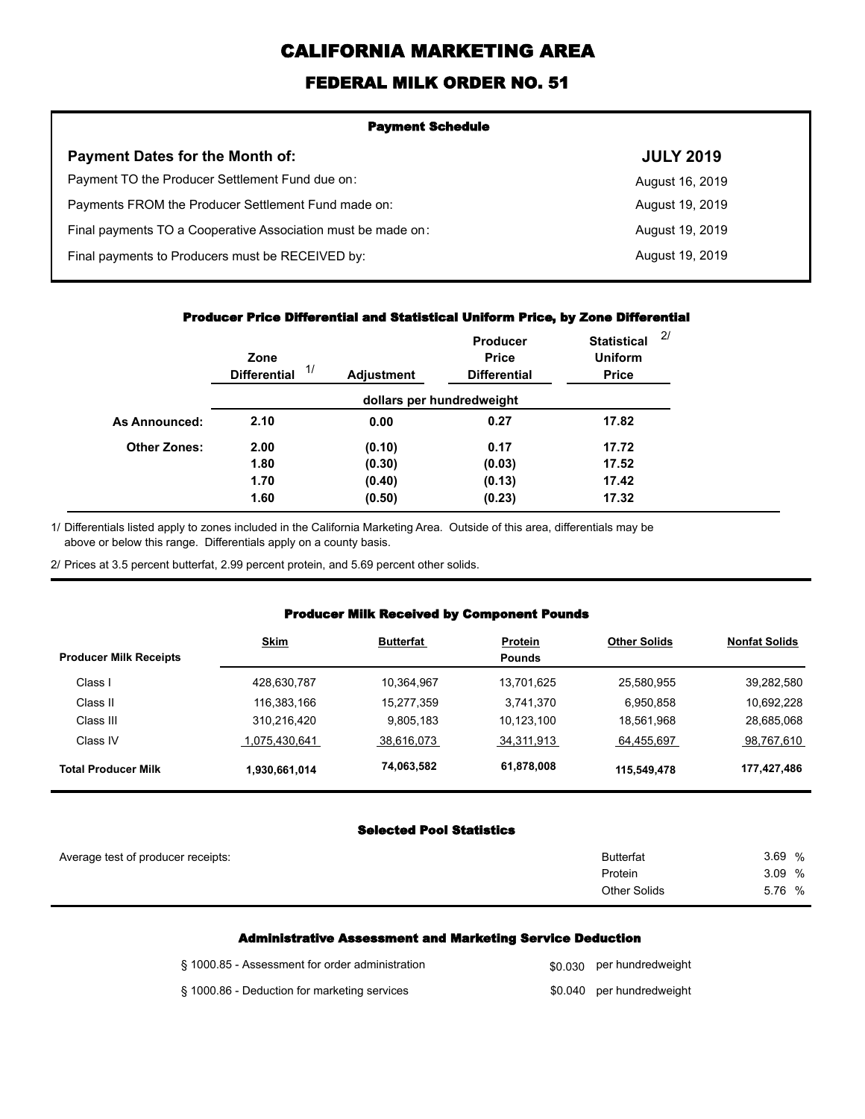# **CALIFORNIA MARKETING AREA**

### **FEDERAL MILK ORDER NO. 51**

| <b>Payment Schedule</b>                                      |                  |  |  |  |
|--------------------------------------------------------------|------------------|--|--|--|
| <b>Payment Dates for the Month of:</b>                       | <b>JULY 2019</b> |  |  |  |
| Payment TO the Producer Settlement Fund due on:              | August 16, 2019  |  |  |  |
| Payments FROM the Producer Settlement Fund made on:          | August 19, 2019  |  |  |  |
| Final payments TO a Cooperative Association must be made on: | August 19, 2019  |  |  |  |
| Final payments to Producers must be RECEIVED by:             | August 19, 2019  |  |  |  |
|                                                              |                  |  |  |  |

#### **Producer Price Differential and Statistical Uniform Price, by Zone Differential**

|                     | Zone<br>1/<br><b>Differential</b> | <b>Adjustment</b> | Producer<br><b>Price</b><br><b>Differential</b> | <b>Statistical</b><br><b>Uniform</b><br><b>Price</b> | 2/ |
|---------------------|-----------------------------------|-------------------|-------------------------------------------------|------------------------------------------------------|----|
|                     |                                   |                   | dollars per hundredweight                       |                                                      |    |
| As Announced:       | 2.10                              | 0.00              | 0.27                                            | 17.82                                                |    |
| <b>Other Zones:</b> | 2.00                              | (0.10)            | 0.17                                            | 17.72                                                |    |
|                     | 1.80                              | (0.30)            | (0.03)                                          | 17.52                                                |    |
|                     | 1.70                              | (0.40)            | (0.13)                                          | 17.42                                                |    |
|                     | 1.60                              | (0.50)            | (0.23)                                          | 17.32                                                |    |

Differentials listed apply to zones included in the California Marketing Area. Outside of this area, differentials may be above or below this range. Differentials apply on a county basis. 1/

2/ Prices at 3.5 percent butterfat, 2.99 percent protein, and 5.69 percent other solids.

#### **Producer Milk Received by Component Pounds**

|                               | <b>Skim</b>   | <b>Butterfat</b> | <b>Protein</b> | <b>Other Solids</b> | <b>Nonfat Solids</b> |
|-------------------------------|---------------|------------------|----------------|---------------------|----------------------|
| <b>Producer Milk Receipts</b> |               |                  | <b>Pounds</b>  |                     |                      |
| Class I                       | 428.630.787   | 10,364,967       | 13.701.625     | 25,580,955          | 39,282,580           |
| Class II                      | 116,383,166   | 15,277,359       | 3,741,370      | 6,950,858           | 10,692,228           |
| Class III                     | 310,216,420   | 9,805,183        | 10.123.100     | 18,561,968          | 28,685,068           |
| Class IV                      | 1.075.430.641 | 38,616,073       | 34,311,913     | 64,455,697          | 98,767,610           |
| <b>Total Producer Milk</b>    | 1,930,661,014 | 74,063,582       | 61,878,008     | 115,549,478         | 177,427,486          |

#### **Selected Pool Statistics**

| Average test of producer receipts: | <b>Butterfat</b>    | 3.69 % |
|------------------------------------|---------------------|--------|
|                                    | Protein             | 3.09 % |
|                                    | <b>Other Solids</b> | 5.76 % |
|                                    |                     |        |

#### **Administrative Assessment and Marketing Service Deduction**

| § 1000.85 - Assessment for order administration | \$0,030 per hundredweight |
|-------------------------------------------------|---------------------------|
| § 1000.86 - Deduction for marketing services    | \$0.040 per hundredweight |